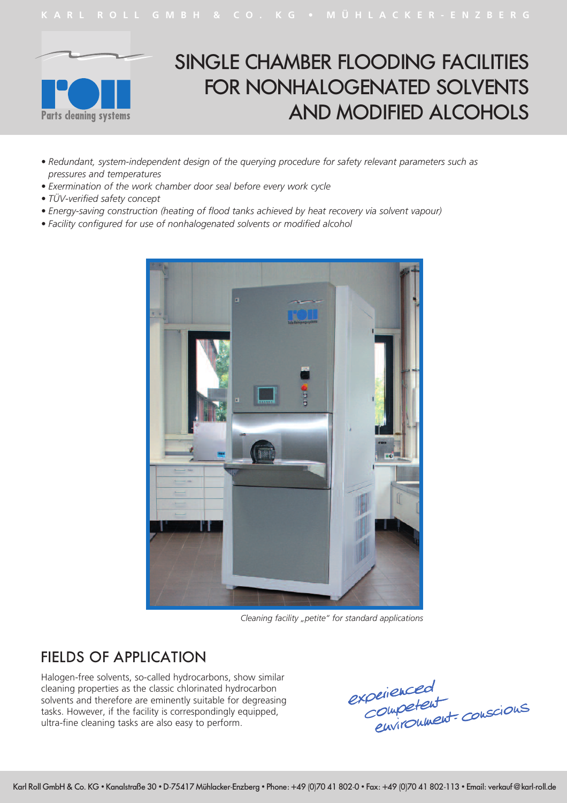



# SINGLE CHAMBER FLOODING FACILITIES FOR NONHALOGENATED SOLVENTS AND MODIFIED ALCOHOLS

- *• Redundant, system-independent design of the querying procedure for safety relevant parameters such as pressures and temperatures*
- *• Exermination of the work chamber door seal before every work cycle*
- *• TÜV-verified safety concept*
- *• Energy-saving construction (heating of flood tanks achieved by heat recovery via solvent vapour)*
- *• Facility configured for use of nonhalogenated solvents or modified alcohol*



*Cleaning facility "petite" for standard applications*

#### FIELDS OF APPLICATION

Halogen-free solvents, so-called hydrocarbons, show similar cleaning properties as the classic chlorinated hydrocarbon solvents and therefore are eminently suitable for degreasing tasks. However, if the facility is correspondingly equipped, ultra-fine cleaning tasks are also easy to perform.

experienced<br>Competent<br>environment conscious